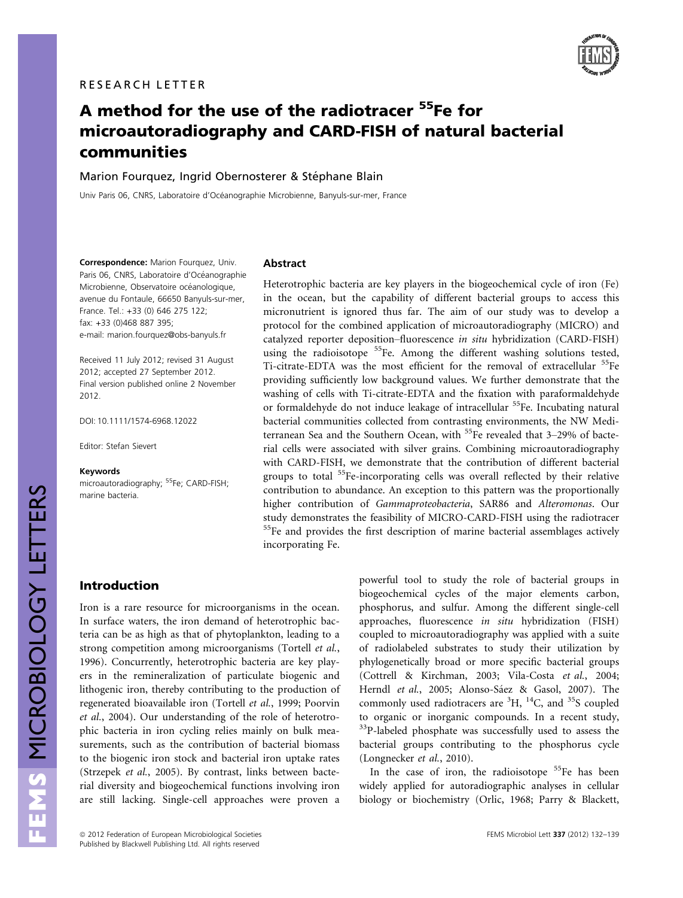

# A method for the use of the radiotracer <sup>55</sup>Fe for microautoradiography and CARD-FISH of natural bacterial communities

Marion Fourquez, Ingrid Obernosterer & Stéphane Blain

Univ Paris 06, CNRS, Laboratoire d'Océanographie Microbienne, Banyuls-sur-mer, France

Correspondence: Marion Fourquez, Univ. Paris 06, CNRS, Laboratoire d'Océanographie Microbienne, Observatoire océanologique, avenue du Fontaule, 66650 Banyuls-sur-mer, France. Tel.: +33 (0) 646 275 122; fax: +33 (0)468 887 395; e-mail: marion.fourquez@obs-banyuls.fr

Received 11 July 2012; revised 31 August 2012; accepted 27 September 2012. Final version published online 2 November 2012.

DOI: 10.1111/1574-6968.12022

Editor: Stefan Sievert

#### Keywords

microautoradiography; <sup>55</sup>Fe; CARD-FISH; marine bacteria.

#### Abstract

Heterotrophic bacteria are key players in the biogeochemical cycle of iron (Fe) in the ocean, but the capability of different bacterial groups to access this micronutrient is ignored thus far. The aim of our study was to develop a protocol for the combined application of microautoradiography (MICRO) and catalyzed reporter deposition–fluorescence in situ hybridization (CARD-FISH) using the radioisotope  $55$ Fe. Among the different washing solutions tested, Ti-citrate-EDTA was the most efficient for the removal of extracellular <sup>55</sup>Fe providing sufficiently low background values. We further demonstrate that the washing of cells with Ti-citrate-EDTA and the fixation with paraformaldehyde or formaldehyde do not induce leakage of intracellular <sup>55</sup>Fe. Incubating natural bacterial communities collected from contrasting environments, the NW Mediterranean Sea and the Southern Ocean, with <sup>55</sup>Fe revealed that 3-29% of bacterial cells were associated with silver grains. Combining microautoradiography with CARD-FISH, we demonstrate that the contribution of different bacterial groups to total <sup>55</sup>Fe-incorporating cells was overall reflected by their relative contribution to abundance. An exception to this pattern was the proportionally higher contribution of Gammaproteobacteria, SAR86 and Alteromonas. Our study demonstrates the feasibility of MICRO-CARD-FISH using the radiotracer <sup>55</sup>Fe and provides the first description of marine bacterial assemblages actively incorporating Fe.

## Introduction

Iron is a rare resource for microorganisms in the ocean. In surface waters, the iron demand of heterotrophic bacteria can be as high as that of phytoplankton, leading to a strong competition among microorganisms (Tortell et al., 1996). Concurrently, heterotrophic bacteria are key players in the remineralization of particulate biogenic and lithogenic iron, thereby contributing to the production of regenerated bioavailable iron (Tortell et al., 1999; Poorvin et al., 2004). Our understanding of the role of heterotrophic bacteria in iron cycling relies mainly on bulk measurements, such as the contribution of bacterial biomass to the biogenic iron stock and bacterial iron uptake rates (Strzepek et al., 2005). By contrast, links between bacterial diversity and biogeochemical functions involving iron are still lacking. Single-cell approaches were proven a

powerful tool to study the role of bacterial groups in biogeochemical cycles of the major elements carbon, phosphorus, and sulfur. Among the different single-cell approaches, fluorescence in situ hybridization (FISH) coupled to microautoradiography was applied with a suite of radiolabeled substrates to study their utilization by phylogenetically broad or more specific bacterial groups (Cottrell & Kirchman, 2003; Vila-Costa et al., 2004; Herndl et al., 2005; Alonso-Sáez & Gasol, 2007). The commonly used radiotracers are  ${}^{3}H, {}^{14}C,$  and  ${}^{35}S$  coupled to organic or inorganic compounds. In a recent study, <sup>33</sup>P-labeled phosphate was successfully used to assess the bacterial groups contributing to the phosphorus cycle (Longnecker et al., 2010).

In the case of iron, the radioisotope <sup>55</sup>Fe has been widely applied for autoradiographic analyses in cellular biology or biochemistry (Orlic, 1968; Parry & Blackett,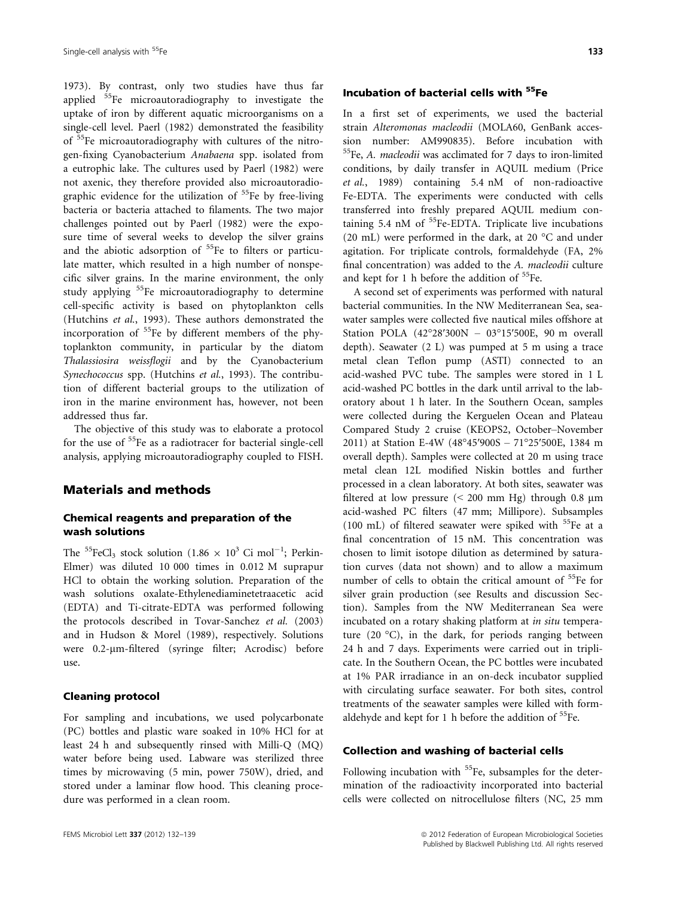1973). By contrast, only two studies have thus far applied 55Fe microautoradiography to investigate the uptake of iron by different aquatic microorganisms on a single-cell level. Paerl (1982) demonstrated the feasibility of 55Fe microautoradiography with cultures of the nitrogen-fixing Cyanobacterium Anabaena spp. isolated from a eutrophic lake. The cultures used by Paerl (1982) were not axenic, they therefore provided also microautoradiographic evidence for the utilization of <sup>55</sup>Fe by free-living bacteria or bacteria attached to filaments. The two major challenges pointed out by Paerl (1982) were the exposure time of several weeks to develop the silver grains and the abiotic adsorption of <sup>55</sup>Fe to filters or particulate matter, which resulted in a high number of nonspecific silver grains. In the marine environment, the only study applying <sup>55</sup>Fe microautoradiography to determine cell-specific activity is based on phytoplankton cells (Hutchins et al., 1993). These authors demonstrated the incorporation of  $55$ Fe by different members of the phytoplankton community, in particular by the diatom Thalassiosira weissflogii and by the Cyanobacterium Synechococcus spp. (Hutchins et al., 1993). The contribution of different bacterial groups to the utilization of iron in the marine environment has, however, not been addressed thus far.

The objective of this study was to elaborate a protocol for the use of <sup>55</sup>Fe as a radiotracer for bacterial single-cell analysis, applying microautoradiography coupled to FISH.

#### Materials and methods

### Chemical reagents and preparation of the wash solutions

The <sup>55</sup>FeCl<sub>3</sub> stock solution (1.86  $\times$  10<sup>3</sup> Ci mol<sup>-1</sup>; Perkin-Elmer) was diluted 10 000 times in 0.012 M suprapur HCl to obtain the working solution. Preparation of the wash solutions oxalate-Ethylenediaminetetraacetic acid (EDTA) and Ti-citrate-EDTA was performed following the protocols described in Tovar-Sanchez et al. (2003) and in Hudson & Morel (1989), respectively. Solutions were 0.2-µm-filtered (syringe filter; Acrodisc) before use.

#### Cleaning protocol

For sampling and incubations, we used polycarbonate (PC) bottles and plastic ware soaked in 10% HCl for at least 24 h and subsequently rinsed with Milli-Q (MQ) water before being used. Labware was sterilized three times by microwaving (5 min, power 750W), dried, and stored under a laminar flow hood. This cleaning procedure was performed in a clean room.

## Incubation of bacterial cells with 55Fe

In a first set of experiments, we used the bacterial strain Alteromonas macleodii (MOLA60, GenBank accession number: AM990835). Before incubation with  $55$ Fe, A. macleodii was acclimated for 7 days to iron-limited conditions, by daily transfer in AQUIL medium (Price et al., 1989) containing 5.4 nM of non-radioactive Fe-EDTA. The experiments were conducted with cells transferred into freshly prepared AQUIL medium containing 5.4 nM of  ${}^{55}$ Fe-EDTA. Triplicate live incubations (20 mL) were performed in the dark, at 20 °C and under agitation. For triplicate controls, formaldehyde (FA, 2% final concentration) was added to the A. macleodii culture and kept for 1 h before the addition of  $55Fe$ .

A second set of experiments was performed with natural bacterial communities. In the NW Mediterranean Sea, seawater samples were collected five nautical miles offshore at Station POLA (42°28′300N – 03°15′500E, 90 m overall depth). Seawater (2 L) was pumped at 5 m using a trace metal clean Teflon pump (ASTI) connected to an acid-washed PVC tube. The samples were stored in 1 L acid-washed PC bottles in the dark until arrival to the laboratory about 1 h later. In the Southern Ocean, samples were collected during the Kerguelen Ocean and Plateau Compared Study 2 cruise (KEOPS2, October–November 2011) at Station E-4W (48°45′900S – 71°25′500E, 1384 m overall depth). Samples were collected at 20 m using trace metal clean 12L modified Niskin bottles and further processed in a clean laboratory. At both sites, seawater was filtered at low pressure  $(< 200$  mm Hg) through 0.8  $\mu$ m acid-washed PC filters (47 mm; Millipore). Subsamples (100 mL) of filtered seawater were spiked with  $55Fe$  at a final concentration of 15 nM. This concentration was chosen to limit isotope dilution as determined by saturation curves (data not shown) and to allow a maximum number of cells to obtain the critical amount of <sup>55</sup>Fe for silver grain production (see Results and discussion Section). Samples from the NW Mediterranean Sea were incubated on a rotary shaking platform at in situ temperature (20 °C), in the dark, for periods ranging between 24 h and 7 days. Experiments were carried out in triplicate. In the Southern Ocean, the PC bottles were incubated at 1% PAR irradiance in an on-deck incubator supplied with circulating surface seawater. For both sites, control treatments of the seawater samples were killed with formaldehyde and kept for 1 h before the addition of  ${}^{55}$ Fe.

#### Collection and washing of bacterial cells

Following incubation with <sup>55</sup>Fe, subsamples for the determination of the radioactivity incorporated into bacterial cells were collected on nitrocellulose filters (NC, 25 mm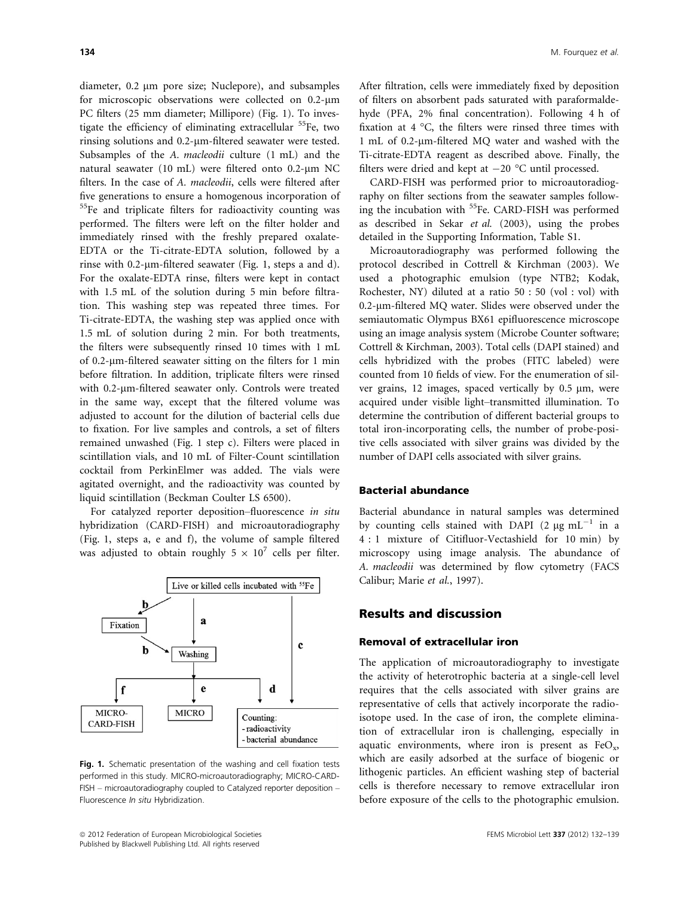diameter, 0.2 µm pore size; Nuclepore), and subsamples for microscopic observations were collected on 0.2-um PC filters (25 mm diameter; Millipore) (Fig. 1). To investigate the efficiency of eliminating extracellular  $55Fe$ , two rinsing solutions and 0.2-um-filtered seawater were tested. Subsamples of the A. macleodii culture (1 mL) and the natural seawater (10 mL) were filtered onto 0.2-um NC filters. In the case of A. macleodii, cells were filtered after five generations to ensure a homogenous incorporation of <sup>55</sup>Fe and triplicate filters for radioactivity counting was performed. The filters were left on the filter holder and immediately rinsed with the freshly prepared oxalate-EDTA or the Ti-citrate-EDTA solution, followed by a rinse with 0.2- $\mu$ m-filtered seawater (Fig. 1, steps a and d). For the oxalate-EDTA rinse, filters were kept in contact with 1.5 mL of the solution during 5 min before filtration. This washing step was repeated three times. For Ti-citrate-EDTA, the washing step was applied once with 1.5 mL of solution during 2 min. For both treatments, the filters were subsequently rinsed 10 times with 1 mL of 0.2- $\mu$ m-filtered seawater sitting on the filters for 1 min before filtration. In addition, triplicate filters were rinsed with 0.2-um-filtered seawater only. Controls were treated in the same way, except that the filtered volume was adjusted to account for the dilution of bacterial cells due to fixation. For live samples and controls, a set of filters remained unwashed (Fig. 1 step c). Filters were placed in scintillation vials, and 10 mL of Filter-Count scintillation cocktail from PerkinElmer was added. The vials were agitated overnight, and the radioactivity was counted by liquid scintillation (Beckman Coulter LS 6500).

For catalyzed reporter deposition–fluorescence in situ hybridization (CARD-FISH) and microautoradiography (Fig. 1, steps a, e and f), the volume of sample filtered was adjusted to obtain roughly  $5 \times 10^7$  cells per filter.



Fig. 1. Schematic presentation of the washing and cell fixation tests performed in this study. MICRO-microautoradiography; MICRO-CARD-FISH – microautoradiography coupled to Catalyzed reporter deposition – Fluorescence In situ Hybridization.

After filtration, cells were immediately fixed by deposition of filters on absorbent pads saturated with paraformaldehyde (PFA, 2% final concentration). Following 4 h of fixation at 4 °C, the filters were rinsed three times with 1 mL of 0.2-lm-filtered MQ water and washed with the Ti-citrate-EDTA reagent as described above. Finally, the filters were dried and kept at  $-20$  °C until processed.

CARD-FISH was performed prior to microautoradiography on filter sections from the seawater samples following the incubation with <sup>55</sup>Fe. CARD-FISH was performed as described in Sekar et al. (2003), using the probes detailed in the Supporting Information, Table S1.

Microautoradiography was performed following the protocol described in Cottrell & Kirchman (2003). We used a photographic emulsion (type NTB2; Kodak, Rochester, NY) diluted at a ratio 50 : 50 (vol : vol) with 0.2-lm-filtered MQ water. Slides were observed under the semiautomatic Olympus BX61 epifluorescence microscope using an image analysis system (Microbe Counter software; Cottrell & Kirchman, 2003). Total cells (DAPI stained) and cells hybridized with the probes (FITC labeled) were counted from 10 fields of view. For the enumeration of silver grains,  $12$  images, spaced vertically by  $0.5 \mu m$ , were acquired under visible light–transmitted illumination. To determine the contribution of different bacterial groups to total iron-incorporating cells, the number of probe-positive cells associated with silver grains was divided by the number of DAPI cells associated with silver grains.

#### Bacterial abundance

Bacterial abundance in natural samples was determined by counting cells stained with DAPI (2  $\mu$ g mL<sup>-1</sup> in a 4 : 1 mixture of Citifluor-Vectashield for 10 min) by microscopy using image analysis. The abundance of A. macleodii was determined by flow cytometry (FACS Calibur; Marie et al., 1997).

#### Results and discussion

#### Removal of extracellular iron

The application of microautoradiography to investigate the activity of heterotrophic bacteria at a single-cell level requires that the cells associated with silver grains are representative of cells that actively incorporate the radioisotope used. In the case of iron, the complete elimination of extracellular iron is challenging, especially in aquatic environments, where iron is present as  $FeO<sub>x</sub>$ , which are easily adsorbed at the surface of biogenic or lithogenic particles. An efficient washing step of bacterial cells is therefore necessary to remove extracellular iron before exposure of the cells to the photographic emulsion.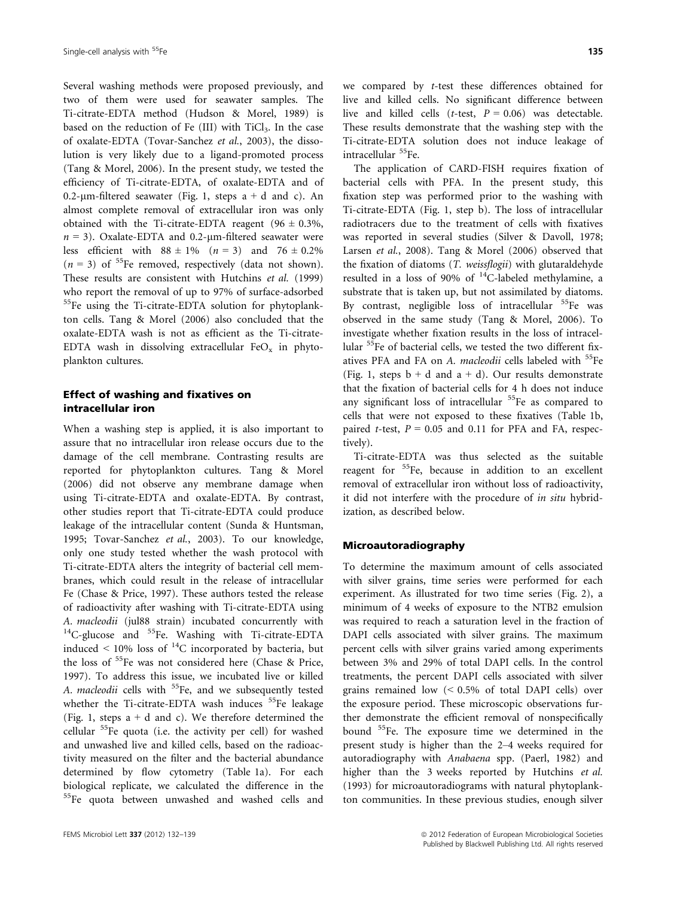Several washing methods were proposed previously, and two of them were used for seawater samples. The Ti-citrate-EDTA method (Hudson & Morel, 1989) is based on the reduction of Fe  $(III)$  with TiCl<sub>3</sub>. In the case of oxalate-EDTA (Tovar-Sanchez et al., 2003), the dissolution is very likely due to a ligand-promoted process (Tang & Morel, 2006). In the present study, we tested the efficiency of Ti-citrate-EDTA, of oxalate-EDTA and of 0.2-µm-filtered seawater (Fig. 1, steps  $a + d$  and c). An almost complete removal of extracellular iron was only obtained with the Ti-citrate-EDTA reagent (96  $\pm$  0.3%,  $n = 3$ ). Oxalate-EDTA and 0.2-µm-filtered seawater were less efficient with  $88 \pm 1\%$  ( $n = 3$ ) and  $76 \pm 0.2\%$  $(n = 3)$  of <sup>55</sup>Fe removed, respectively (data not shown). These results are consistent with Hutchins et al. (1999) who report the removal of up to 97% of surface-adsorbed <sup>55</sup>Fe using the Ti-citrate-EDTA solution for phytoplankton cells. Tang & Morel (2006) also concluded that the oxalate-EDTA wash is not as efficient as the Ti-citrate-EDTA wash in dissolving extracellular  $FeO<sub>x</sub>$  in phytoplankton cultures.

#### Effect of washing and fixatives on intracellular iron

When a washing step is applied, it is also important to assure that no intracellular iron release occurs due to the damage of the cell membrane. Contrasting results are reported for phytoplankton cultures. Tang & Morel (2006) did not observe any membrane damage when using Ti-citrate-EDTA and oxalate-EDTA. By contrast, other studies report that Ti-citrate-EDTA could produce leakage of the intracellular content (Sunda & Huntsman, 1995; Tovar-Sanchez et al., 2003). To our knowledge, only one study tested whether the wash protocol with Ti-citrate-EDTA alters the integrity of bacterial cell membranes, which could result in the release of intracellular Fe (Chase & Price, 1997). These authors tested the release of radioactivity after washing with Ti-citrate-EDTA using A. macleodii (jul88 strain) incubated concurrently with <sup>14</sup>C-glucose and <sup>55</sup>Fe. Washing with Ti-citrate-EDTA induced  $\leq 10\%$  loss of <sup>14</sup>C incorporated by bacteria, but the loss of <sup>55</sup>Fe was not considered here (Chase & Price, 1997). To address this issue, we incubated live or killed A. *macleodii* cells with <sup>55</sup>Fe, and we subsequently tested whether the Ti-citrate-EDTA wash induces  $55$ Fe leakage (Fig. 1, steps  $a + d$  and c). We therefore determined the cellular 55Fe quota (i.e. the activity per cell) for washed and unwashed live and killed cells, based on the radioactivity measured on the filter and the bacterial abundance determined by flow cytometry (Table 1a). For each biological replicate, we calculated the difference in the <sup>55</sup>Fe quota between unwashed and washed cells and

we compared by t-test these differences obtained for live and killed cells. No significant difference between live and killed cells (t-test,  $P = 0.06$ ) was detectable. These results demonstrate that the washing step with the Ti-citrate-EDTA solution does not induce leakage of intracellular <sup>55</sup>Fe.

The application of CARD-FISH requires fixation of bacterial cells with PFA. In the present study, this fixation step was performed prior to the washing with Ti-citrate-EDTA (Fig. 1, step b). The loss of intracellular radiotracers due to the treatment of cells with fixatives was reported in several studies (Silver & Davoll, 1978; Larsen et al., 2008). Tang & Morel (2006) observed that the fixation of diatoms (T. weissflogii) with glutaraldehyde resulted in a loss of 90% of  $^{14}$ C-labeled methylamine, a substrate that is taken up, but not assimilated by diatoms. By contrast, negligible loss of intracellular <sup>55</sup>Fe was observed in the same study (Tang & Morel, 2006). To investigate whether fixation results in the loss of intracellular 55Fe of bacterial cells, we tested the two different fixatives PFA and FA on A. macleodii cells labeled with <sup>55</sup>Fe (Fig. 1, steps  $b + d$  and  $a + d$ ). Our results demonstrate that the fixation of bacterial cells for 4 h does not induce any significant loss of intracellular <sup>55</sup>Fe as compared to cells that were not exposed to these fixatives (Table 1b, paired *t*-test,  $P = 0.05$  and 0.11 for PFA and FA, respectively).

Ti-citrate-EDTA was thus selected as the suitable reagent for <sup>55</sup>Fe, because in addition to an excellent removal of extracellular iron without loss of radioactivity, it did not interfere with the procedure of in situ hybridization, as described below.

#### Microautoradiography

To determine the maximum amount of cells associated with silver grains, time series were performed for each experiment. As illustrated for two time series (Fig. 2), a minimum of 4 weeks of exposure to the NTB2 emulsion was required to reach a saturation level in the fraction of DAPI cells associated with silver grains. The maximum percent cells with silver grains varied among experiments between 3% and 29% of total DAPI cells. In the control treatments, the percent DAPI cells associated with silver grains remained low (< 0.5% of total DAPI cells) over the exposure period. These microscopic observations further demonstrate the efficient removal of nonspecifically bound 55Fe. The exposure time we determined in the present study is higher than the 2–4 weeks required for autoradiography with Anabaena spp. (Paerl, 1982) and higher than the 3 weeks reported by Hutchins et al. (1993) for microautoradiograms with natural phytoplankton communities. In these previous studies, enough silver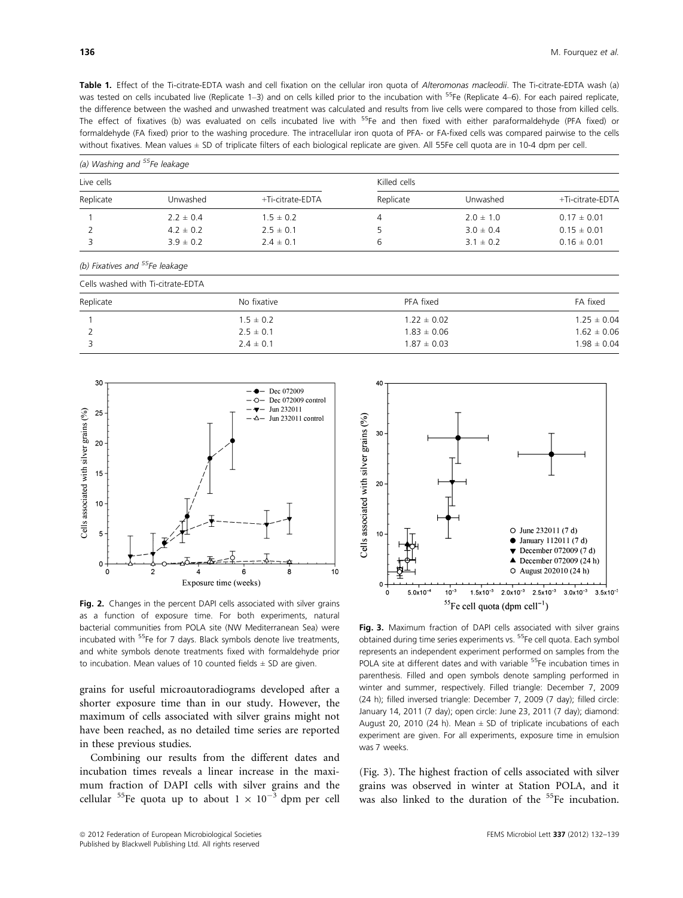Table 1. Effect of the Ti-citrate-EDTA wash and cell fixation on the cellular iron quota of Alteromonas macleodii. The Ti-citrate-EDTA wash (a) was tested on cells incubated live (Replicate 1–3) and on cells killed prior to the incubation with <sup>55</sup>Fe (Replicate 4–6). For each paired replicate, the difference between the washed and unwashed treatment was calculated and results from live cells were compared to those from killed cells. The effect of fixatives (b) was evaluated on cells incubated live with <sup>55</sup>Fe and then fixed with either paraformaldehyde (PFA fixed) or formaldehyde (FA fixed) prior to the washing procedure. The intracellular iron quota of PFA- or FA-fixed cells was compared pairwise to the cells without fixatives. Mean values ± SD of triplicate filters of each biological replicate are given. All 55Fe cell quota are in 10-4 dpm per cell.

| (a) Washing and <sup>55</sup> Fe leakage |               |                  |              |               |                  |  |  |
|------------------------------------------|---------------|------------------|--------------|---------------|------------------|--|--|
| Live cells                               |               |                  | Killed cells |               |                  |  |  |
| Replicate                                | Unwashed      | +Ti-citrate-EDTA | Replicate    | Unwashed      | +Ti-citrate-EDTA |  |  |
|                                          | $2.2 \pm 0.4$ | $1.5 \pm 0.2$    |              | $2.0 \pm 1.0$ | $0.17 \pm 0.01$  |  |  |
|                                          | $4.2 \pm 0.2$ | $2.5 \pm 0.1$    |              | $3.0 \pm 0.4$ | $0.15 \pm 0.01$  |  |  |
|                                          | $3.9 \pm 0.2$ | $2.4 \pm 0.1$    | 6            | $3.1 \pm 0.2$ | $0.16 \pm 0.01$  |  |  |

(b) Fixatives and  $55$ Fe leakage

| Cells washed with Ti-citrate-EDTA |               |                 |                 |  |  |
|-----------------------------------|---------------|-----------------|-----------------|--|--|
| Replicate                         | No fixative   | PFA fixed       | FA fixed        |  |  |
|                                   | $1.5 \pm 0.2$ | $1.22 \pm 0.02$ | $1.25 \pm 0.04$ |  |  |
|                                   | $2.5 \pm 0.1$ | $1.83 \pm 0.06$ | $1.62 \pm 0.06$ |  |  |
|                                   | $2.4 \pm 0.1$ | $1.87 \pm 0.03$ | $1.98 \pm 0.04$ |  |  |



Fig. 2. Changes in the percent DAPI cells associated with silver grains as a function of exposure time. For both experiments, natural bacterial communities from POLA site (NW Mediterranean Sea) were incubated with <sup>55</sup>Fe for 7 days. Black symbols denote live treatments, and white symbols denote treatments fixed with formaldehyde prior to incubation. Mean values of 10 counted fields  $\pm$  SD are given.

grains for useful microautoradiograms developed after a shorter exposure time than in our study. However, the maximum of cells associated with silver grains might not have been reached, as no detailed time series are reported in these previous studies.

Combining our results from the different dates and incubation times reveals a linear increase in the maximum fraction of DAPI cells with silver grains and the cellular <sup>55</sup>Fe quota up to about  $1 \times 10^{-3}$  dpm per cell



Fig. 3. Maximum fraction of DAPI cells associated with silver grains obtained during time series experiments vs. 55Fe cell quota. Each symbol represents an independent experiment performed on samples from the POLA site at different dates and with variable <sup>55</sup>Fe incubation times in parenthesis. Filled and open symbols denote sampling performed in winter and summer, respectively. Filled triangle: December 7, 2009 (24 h); filled inversed triangle: December 7, 2009 (7 day); filled circle: January 14, 2011 (7 day); open circle: June 23, 2011 (7 day); diamond: August 20, 2010 (24 h). Mean  $\pm$  SD of triplicate incubations of each experiment are given. For all experiments, exposure time in emulsion was 7 weeks.

(Fig. 3). The highest fraction of cells associated with silver grains was observed in winter at Station POLA, and it was also linked to the duration of the <sup>55</sup>Fe incubation.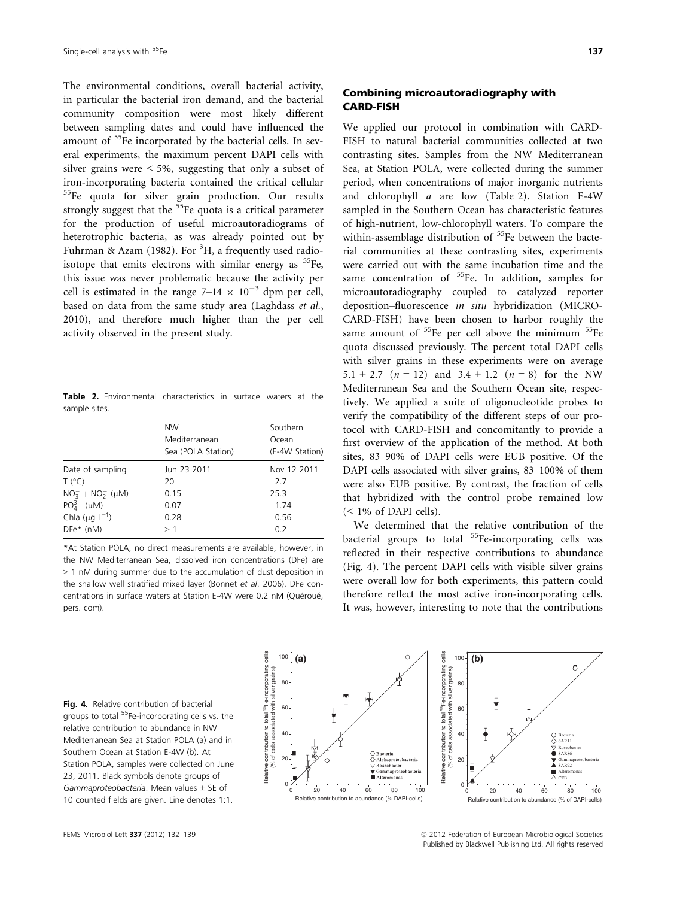The environmental conditions, overall bacterial activity, in particular the bacterial iron demand, and the bacterial community composition were most likely different between sampling dates and could have influenced the amount of <sup>55</sup>Fe incorporated by the bacterial cells. In several experiments, the maximum percent DAPI cells with silver grains were  $\leq 5\%$ , suggesting that only a subset of iron-incorporating bacteria contained the critical cellular <sup>55</sup>Fe quota for silver grain production. Our results strongly suggest that the  $55$ Fe quota is a critical parameter for the production of useful microautoradiograms of heterotrophic bacteria, as was already pointed out by Fuhrman & Azam (1982). For  ${}^{3}H$ , a frequently used radioisotope that emits electrons with similar energy as  $55Fe$ , this issue was never problematic because the activity per cell is estimated in the range  $7-14 \times 10^{-3}$  dpm per cell, based on data from the same study area (Laghdass et al., 2010), and therefore much higher than the per cell activity observed in the present study.

Table 2. Environmental characteristics in surface waters at the sample sites.

|                              | <b>NW</b><br>Mediterranean<br>Sea (POLA Station) | Southern<br>Ocean<br>(E-4W Station) |
|------------------------------|--------------------------------------------------|-------------------------------------|
| Date of sampling             | Jun 23 2011                                      | Nov 12 2011                         |
| $T (^{\circ}C)$              | 20                                               | 2.7                                 |
| $NO_3^- + NO_2^-$ ( $\mu$ M) | 0.15                                             | 25.3                                |
| $PO_{4}^{3-}$ (µM)           | 0.07                                             | 1.74                                |
| Chla $(\mu g L^{-1})$        | 0.28                                             | 0.56                                |
| $DFe^*$ (nM)                 | >1                                               | 0.2                                 |
|                              |                                                  |                                     |

\*At Station POLA, no direct measurements are available, however, in the NW Mediterranean Sea, dissolved iron concentrations (DFe) are > 1 nM during summer due to the accumulation of dust deposition in the shallow well stratified mixed layer (Bonnet et al. 2006). DFe concentrations in surface waters at Station E-4W were 0.2 nM (Quéroué, pers. com).

### Combining microautoradiography with CARD-FISH

We applied our protocol in combination with CARD-FISH to natural bacterial communities collected at two contrasting sites. Samples from the NW Mediterranean Sea, at Station POLA, were collected during the summer period, when concentrations of major inorganic nutrients and chlorophyll a are low (Table 2). Station E-4W sampled in the Southern Ocean has characteristic features of high-nutrient, low-chlorophyll waters. To compare the within-assemblage distribution of  $55$ Fe between the bacterial communities at these contrasting sites, experiments were carried out with the same incubation time and the same concentration of  $55$ Fe. In addition, samples for microautoradiography coupled to catalyzed reporter deposition–fluorescence in situ hybridization (MICRO-CARD-FISH) have been chosen to harbor roughly the same amount of  ${}^{55}Fe$  per cell above the minimum  ${}^{55}Fe$ quota discussed previously. The percent total DAPI cells with silver grains in these experiments were on average 5.1  $\pm$  2.7 (*n* = 12) and 3.4  $\pm$  1.2 (*n* = 8) for the NW Mediterranean Sea and the Southern Ocean site, respectively. We applied a suite of oligonucleotide probes to verify the compatibility of the different steps of our protocol with CARD-FISH and concomitantly to provide a first overview of the application of the method. At both sites, 83–90% of DAPI cells were EUB positive. Of the DAPI cells associated with silver grains, 83–100% of them were also EUB positive. By contrast, the fraction of cells that hybridized with the control probe remained low (< 1% of DAPI cells).

We determined that the relative contribution of the bacterial groups to total <sup>55</sup>Fe-incorporating cells was reflected in their respective contributions to abundance (Fig. 4). The percent DAPI cells with visible silver grains were overall low for both experiments, this pattern could therefore reflect the most active iron-incorporating cells. It was, however, interesting to note that the contributions

Fig. 4. Relative contribution of bacterial groups to total 55Fe-incorporating cells vs. the relative contribution to abundance in NW Mediterranean Sea at Station POLA (a) and in Southern Ocean at Station E-4W (b). At Station POLA, samples were collected on June 23, 2011. Black symbols denote groups of Gammaproteobacteria. Mean values  $\pm$  SE of 10 counted fields are given. Line denotes 1:1.

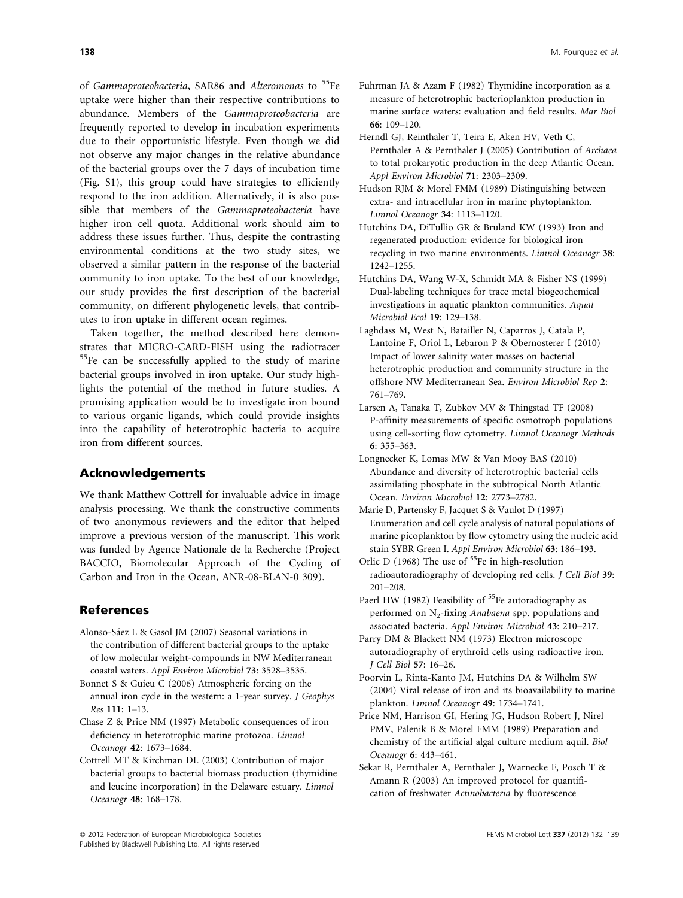of Gammaproteobacteria, SAR86 and Alteromonas to <sup>55</sup>Fe uptake were higher than their respective contributions to abundance. Members of the Gammaproteobacteria are frequently reported to develop in incubation experiments due to their opportunistic lifestyle. Even though we did not observe any major changes in the relative abundance of the bacterial groups over the 7 days of incubation time (Fig. S1), this group could have strategies to efficiently respond to the iron addition. Alternatively, it is also possible that members of the Gammaproteobacteria have higher iron cell quota. Additional work should aim to address these issues further. Thus, despite the contrasting environmental conditions at the two study sites, we observed a similar pattern in the response of the bacterial community to iron uptake. To the best of our knowledge, our study provides the first description of the bacterial community, on different phylogenetic levels, that contributes to iron uptake in different ocean regimes.

Taken together, the method described here demonstrates that MICRO-CARD-FISH using the radiotracer 55Fe can be successfully applied to the study of marine bacterial groups involved in iron uptake. Our study highlights the potential of the method in future studies. A promising application would be to investigate iron bound to various organic ligands, which could provide insights into the capability of heterotrophic bacteria to acquire iron from different sources.

## Acknowledgements

We thank Matthew Cottrell for invaluable advice in image analysis processing. We thank the constructive comments of two anonymous reviewers and the editor that helped improve a previous version of the manuscript. This work was funded by Agence Nationale de la Recherche (Project BACCIO, Biomolecular Approach of the Cycling of Carbon and Iron in the Ocean, ANR-08-BLAN-0 309).

# References

- Alonso-Sáez L & Gasol JM (2007) Seasonal variations in the contribution of different bacterial groups to the uptake of low molecular weight-compounds in NW Mediterranean coastal waters. Appl Environ Microbiol 73: 3528–3535.
- Bonnet S & Guieu C (2006) Atmospheric forcing on the annual iron cycle in the western: a 1-year survey. J Geophys Res 111: 1–13.
- Chase Z & Price NM (1997) Metabolic consequences of iron deficiency in heterotrophic marine protozoa. Limnol Oceanogr 42: 1673–1684.
- Cottrell MT & Kirchman DL (2003) Contribution of major bacterial groups to bacterial biomass production (thymidine and leucine incorporation) in the Delaware estuary. Limnol Oceanogr 48: 168–178.
- Fuhrman JA & Azam F (1982) Thymidine incorporation as a measure of heterotrophic bacterioplankton production in marine surface waters: evaluation and field results. Mar Biol
- 66: 109–120. Herndl GJ, Reinthaler T, Teira E, Aken HV, Veth C, Pernthaler A & Pernthaler J (2005) Contribution of Archaea to total prokaryotic production in the deep Atlantic Ocean. Appl Environ Microbiol 71: 2303–2309.
- Hudson RJM & Morel FMM (1989) Distinguishing between extra- and intracellular iron in marine phytoplankton. Limnol Oceanogr 34: 1113–1120.
- Hutchins DA, DiTullio GR & Bruland KW (1993) Iron and regenerated production: evidence for biological iron recycling in two marine environments. Limnol Oceanogr 38: 1242–1255.
- Hutchins DA, Wang W-X, Schmidt MA & Fisher NS (1999) Dual-labeling techniques for trace metal biogeochemical investigations in aquatic plankton communities. Aquat Microbiol Ecol 19: 129–138.
- Laghdass M, West N, Batailler N, Caparros J, Catala P, Lantoine F, Oriol L, Lebaron P & Obernosterer I (2010) Impact of lower salinity water masses on bacterial heterotrophic production and community structure in the offshore NW Mediterranean Sea. Environ Microbiol Rep 2: 761–769.
- Larsen A, Tanaka T, Zubkov MV & Thingstad TF (2008) P-affinity measurements of specific osmotroph populations using cell-sorting flow cytometry. Limnol Oceanogr Methods 6: 355–363.
- Longnecker K, Lomas MW & Van Mooy BAS (2010) Abundance and diversity of heterotrophic bacterial cells assimilating phosphate in the subtropical North Atlantic Ocean. Environ Microbiol 12: 2773–2782.
- Marie D, Partensky F, Jacquet S & Vaulot D (1997) Enumeration and cell cycle analysis of natural populations of marine picoplankton by flow cytometry using the nucleic acid stain SYBR Green I. Appl Environ Microbiol 63: 186–193.
- Orlic D (1968) The use of  $55Fe$  in high-resolution radioautoradiography of developing red cells. J Cell Biol 39: 201–208.
- Paerl HW (1982) Feasibility of <sup>55</sup>Fe autoradiography as performed on  $N<sub>2</sub>$ -fixing Anabaena spp. populations and associated bacteria. Appl Environ Microbiol 43: 210–217.
- Parry DM & Blackett NM (1973) Electron microscope autoradiography of erythroid cells using radioactive iron. J Cell Biol 57: 16–26.
- Poorvin L, Rinta-Kanto JM, Hutchins DA & Wilhelm SW (2004) Viral release of iron and its bioavailability to marine plankton. Limnol Oceanogr 49: 1734–1741.
- Price NM, Harrison GI, Hering JG, Hudson Robert J, Nirel PMV, Palenik B & Morel FMM (1989) Preparation and chemistry of the artificial algal culture medium aquil. Biol Oceanogr 6: 443–461.
- Sekar R, Pernthaler A, Pernthaler J, Warnecke F, Posch T & Amann R (2003) An improved protocol for quantification of freshwater Actinobacteria by fluorescence